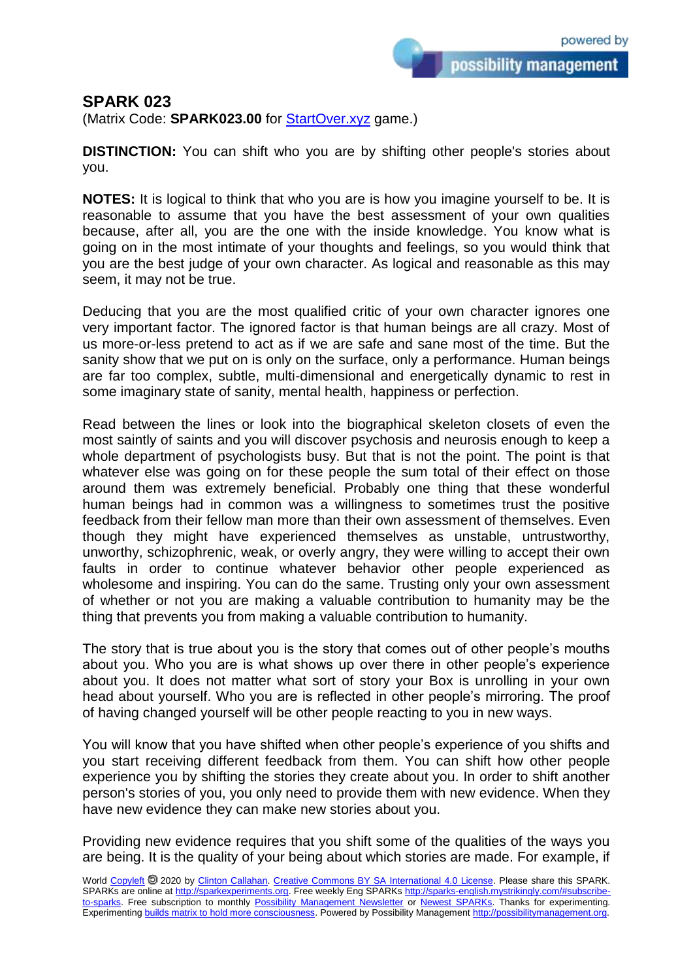possibility management

## **SPARK 023**

(Matrix Code: **SPARK023.00** for **StartOver.xyz** game.)

**DISTINCTION:** You can shift who you are by shifting other people's stories about you.

**NOTES:** It is logical to think that who you are is how you imagine yourself to be. It is reasonable to assume that you have the best assessment of your own qualities because, after all, you are the one with the inside knowledge. You know what is going on in the most intimate of your thoughts and feelings, so you would think that you are the best judge of your own character. As logical and reasonable as this may seem, it may not be true.

Deducing that you are the most qualified critic of your own character ignores one very important factor. The ignored factor is that human beings are all crazy. Most of us more-or-less pretend to act as if we are safe and sane most of the time. But the sanity show that we put on is only on the surface, only a performance. Human beings are far too complex, subtle, multi-dimensional and energetically dynamic to rest in some imaginary state of sanity, mental health, happiness or perfection.

Read between the lines or look into the biographical skeleton closets of even the most saintly of saints and you will discover psychosis and neurosis enough to keep a whole department of psychologists busy. But that is not the point. The point is that whatever else was going on for these people the sum total of their effect on those around them was extremely beneficial. Probably one thing that these wonderful human beings had in common was a willingness to sometimes trust the positive feedback from their fellow man more than their own assessment of themselves. Even though they might have experienced themselves as unstable, untrustworthy, unworthy, schizophrenic, weak, or overly angry, they were willing to accept their own faults in order to continue whatever behavior other people experienced as wholesome and inspiring. You can do the same. Trusting only your own assessment of whether or not you are making a valuable contribution to humanity may be the thing that prevents you from making a valuable contribution to humanity.

The story that is true about you is the story that comes out of other people's mouths about you. Who you are is what shows up over there in other people's experience about you. It does not matter what sort of story your Box is unrolling in your own head about yourself. Who you are is reflected in other people's mirroring. The proof of having changed yourself will be other people reacting to you in new ways.

You will know that you have shifted when other people's experience of you shifts and you start receiving different feedback from them. You can shift how other people experience you by shifting the stories they create about you. In order to shift another person's stories of you, you only need to provide them with new evidence. When they have new evidence they can make new stories about you.

Providing new evidence requires that you shift some of the qualities of the ways you are being. It is the quality of your being about which stories are made. For example, if

World [Copyleft](https://en.wikipedia.org/wiki/Copyleft) @ 2020 by [Clinton Callahan.](http://clintoncallahan.mystrikingly.com/) [Creative Commons BY SA International 4.0 License.](https://creativecommons.org/licenses/by-sa/4.0/) Please share this SPARK. SPARKs are online at [http://sparkexperiments.org.](http://sparks-english.mystrikingly.com/) Free weekly Eng SPARKs [http://sparks-english.mystrikingly.com/#subscribe](http://sparks-english.mystrikingly.com/#subscribe-to-sparks)[to-sparks.](http://sparks-english.mystrikingly.com/#subscribe-to-sparks) Free subscription to monthly [Possibility Management Newsletter](https://possibilitymanagement.org/news/) or [Newest SPARKs.](https://www.clintoncallahan.org/newsletter-1) Thanks for experimenting. Experimentin[g builds matrix to hold more consciousness.](http://spaceport.mystrikingly.com/) Powered by Possibility Managemen[t http://possibilitymanagement.org.](http://possibilitymanagement.org/)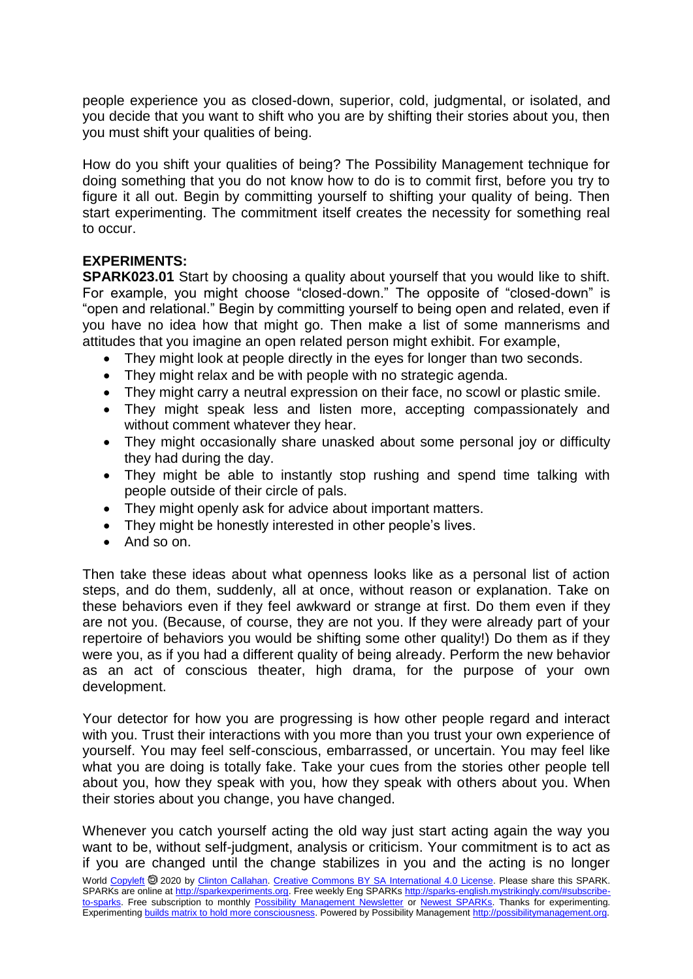people experience you as closed-down, superior, cold, judgmental, or isolated, and you decide that you want to shift who you are by shifting their stories about you, then you must shift your qualities of being.

How do you shift your qualities of being? The Possibility Management technique for doing something that you do not know how to do is to commit first, before you try to figure it all out. Begin by committing yourself to shifting your quality of being. Then start experimenting. The commitment itself creates the necessity for something real to occur.

## **EXPERIMENTS:**

**SPARK023.01** Start by choosing a quality about yourself that you would like to shift. For example, you might choose "closed-down." The opposite of "closed-down" is "open and relational." Begin by committing yourself to being open and related, even if you have no idea how that might go. Then make a list of some mannerisms and attitudes that you imagine an open related person might exhibit. For example,

- They might look at people directly in the eyes for longer than two seconds.
- They might relax and be with people with no strategic agenda.
- They might carry a neutral expression on their face, no scowl or plastic smile.
- They might speak less and listen more, accepting compassionately and without comment whatever they hear.
- They might occasionally share unasked about some personal joy or difficulty they had during the day.
- They might be able to instantly stop rushing and spend time talking with people outside of their circle of pals.
- They might openly ask for advice about important matters.
- They might be honestly interested in other people's lives.
- And so on.

Then take these ideas about what openness looks like as a personal list of action steps, and do them, suddenly, all at once, without reason or explanation. Take on these behaviors even if they feel awkward or strange at first. Do them even if they are not you. (Because, of course, they are not you. If they were already part of your repertoire of behaviors you would be shifting some other quality!) Do them as if they were you, as if you had a different quality of being already. Perform the new behavior as an act of conscious theater, high drama, for the purpose of your own development.

Your detector for how you are progressing is how other people regard and interact with you. Trust their interactions with you more than you trust your own experience of yourself. You may feel self-conscious, embarrassed, or uncertain. You may feel like what you are doing is totally fake. Take your cues from the stories other people tell about you, how they speak with you, how they speak with others about you. When their stories about you change, you have changed.

Whenever you catch yourself acting the old way just start acting again the way you want to be, without self-judgment, analysis or criticism. Your commitment is to act as if you are changed until the change stabilizes in you and the acting is no longer